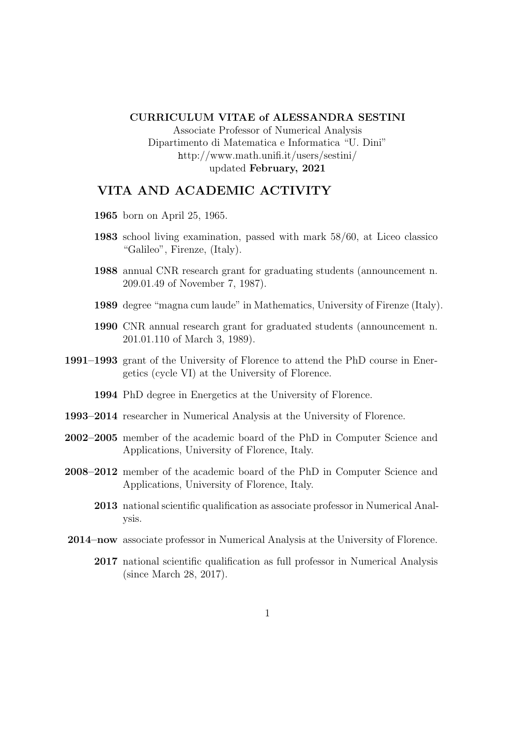#### CURRICULUM VITAE of ALESSANDRA SESTINI

Associate Professor of Numerical Analysis Dipartimento di Matematica e Informatica "U. Dini" http://www.math.unifi.it/users/sestini/ updated February, 2021

# VITA AND ACADEMIC ACTIVITY

- 1965 born on April 25, 1965.
- 1983 school living examination, passed with mark 58/60, at Liceo classico "Galileo", Firenze, (Italy).
- 1988 annual CNR research grant for graduating students (announcement n. 209.01.49 of November 7, 1987).
- 1989 degree "magna cum laude" in Mathematics, University of Firenze (Italy).
- 1990 CNR annual research grant for graduated students (announcement n. 201.01.110 of March 3, 1989).
- 1991–1993 grant of the University of Florence to attend the PhD course in Energetics (cycle VI) at the University of Florence.

1994 PhD degree in Energetics at the University of Florence.

- 1993–2014 researcher in Numerical Analysis at the University of Florence.
- 2002–2005 member of the academic board of the PhD in Computer Science and Applications, University of Florence, Italy.
- 2008–2012 member of the academic board of the PhD in Computer Science and Applications, University of Florence, Italy.
	- 2013 national scientific qualification as associate professor in Numerical Analysis.
- 2014–now associate professor in Numerical Analysis at the University of Florence.
	- 2017 national scientific qualification as full professor in Numerical Analysis (since March 28, 2017).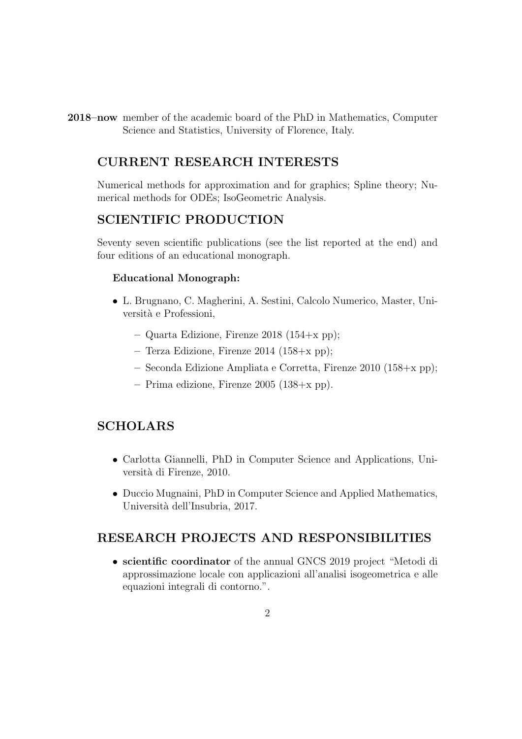2018–now member of the academic board of the PhD in Mathematics, Computer Science and Statistics, University of Florence, Italy.

# CURRENT RESEARCH INTERESTS

Numerical methods for approximation and for graphics; Spline theory; Numerical methods for ODEs; IsoGeometric Analysis.

# SCIENTIFIC PRODUCTION

Seventy seven scientific publications (see the list reported at the end) and four editions of an educational monograph.

### Educational Monograph:

- L. Brugnano, C. Magherini, A. Sestini, Calcolo Numerico, Master, Università e Professioni,
	- Quarta Edizione, Firenze 2018 (154+x pp);
	- Terza Edizione, Firenze 2014 (158+x pp);
	- Seconda Edizione Ampliata e Corretta, Firenze 2010 (158+x pp);
	- Prima edizione, Firenze 2005 (138+x pp).

# SCHOLARS

- Carlotta Giannelli, PhD in Computer Science and Applications, Università di Firenze, 2010.
- Duccio Mugnaini, PhD in Computer Science and Applied Mathematics, Università dell'Insubria, 2017.

### RESEARCH PROJECTS AND RESPONSIBILITIES

• scientific coordinator of the annual GNCS 2019 project "Metodi di approssimazione locale con applicazioni all'analisi isogeometrica e alle equazioni integrali di contorno.".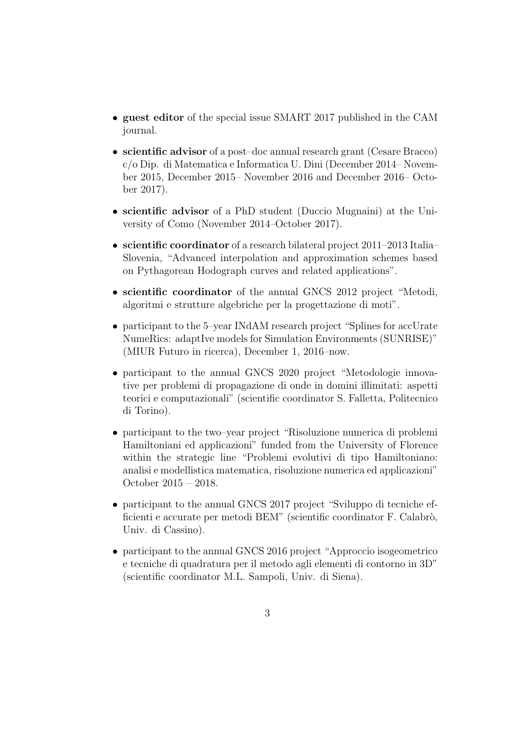- guest editor of the special issue SMART 2017 published in the CAM journal.
- scientific advisor of a post–doc annual research grant (Cesare Bracco) c/o Dip. di Matematica e Informatica U. Dini (December 2014– November 2015, December 2015– November 2016 and December 2016– October 2017).
- scientific advisor of a PhD student (Duccio Mugnaini) at the University of Como (November 2014–October 2017).
- scientific coordinator of a research bilateral project 2011–2013 Italia– Slovenia, "Advanced interpolation and approximation schemes based on Pythagorean Hodograph curves and related applications".
- scientific coordinator of the annual GNCS 2012 project "Metodi, algoritmi e strutture algebriche per la progettazione di moti".
- participant to the 5–year INdAM research project "Splines for accUrate" NumeRics: adaptIve models for Simulation Environments (SUNRISE)" (MIUR Futuro in ricerca), December 1, 2016–now.
- participant to the annual GNCS 2020 project "Metodologie innovative per problemi di propagazione di onde in domini illimitati: aspetti teorici e computazionali" (scientific coordinator S. Falletta, Politecnico di Torino).
- participant to the two–year project "Risoluzione numerica di problemi Hamiltoniani ed applicazioni" funded from the University of Florence within the strategic line "Problemi evolutivi di tipo Hamiltoniano: analisi e modellistica matematica, risoluzione numerica ed applicazioni" October 2015 – 2018.
- participant to the annual GNCS 2017 project "Sviluppo di tecniche efficienti e accurate per metodi BEM" (scientific coordinator F. Calabrò, Univ. di Cassino).
- participant to the annual GNCS 2016 project "Approccio isogeometrico" e tecniche di quadratura per il metodo agli elementi di contorno in 3D" (scientific coordinator M.L. Sampoli, Univ. di Siena).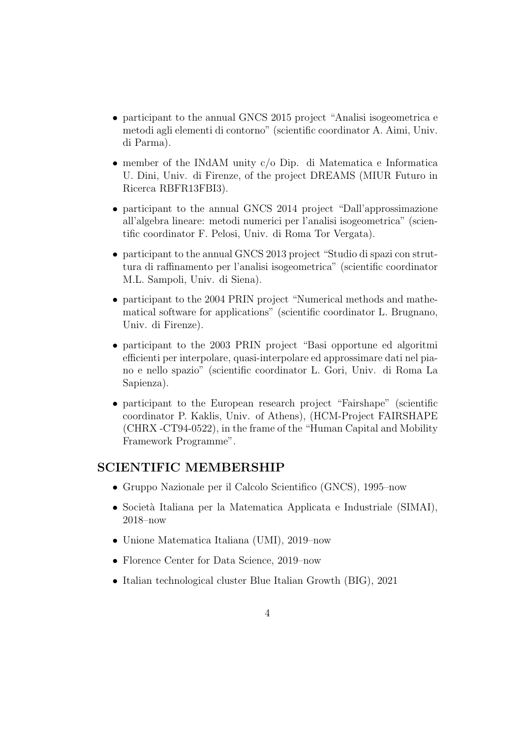- participant to the annual GNCS 2015 project "Analisi isogeometrica e metodi agli elementi di contorno" (scientific coordinator A. Aimi, Univ. di Parma).
- member of the INdAM unity c/o Dip. di Matematica e Informatica U. Dini, Univ. di Firenze, of the project DREAMS (MIUR Futuro in Ricerca RBFR13FBI3).
- participant to the annual GNCS 2014 project "Dall'approssimazione all'algebra lineare: metodi numerici per l'analisi isogeometrica" (scientific coordinator F. Pelosi, Univ. di Roma Tor Vergata).
- participant to the annual GNCS 2013 project "Studio di spazi con struttura di raffinamento per l'analisi isogeometrica" (scientific coordinator M.L. Sampoli, Univ. di Siena).
- participant to the 2004 PRIN project "Numerical methods and mathematical software for applications" (scientific coordinator L. Brugnano, Univ. di Firenze).
- participant to the 2003 PRIN project "Basi opportune ed algoritmi efficienti per interpolare, quasi-interpolare ed approssimare dati nel piano e nello spazio" (scientific coordinator L. Gori, Univ. di Roma La Sapienza).
- participant to the European research project "Fairshape" (scientific coordinator P. Kaklis, Univ. of Athens), (HCM-Project FAIRSHAPE (CHRX -CT94-0522), in the frame of the "Human Capital and Mobility Framework Programme".

## SCIENTIFIC MEMBERSHIP

- Gruppo Nazionale per il Calcolo Scientifico (GNCS), 1995–now
- Società Italiana per la Matematica Applicata e Industriale (SIMAI), 2018–now
- Unione Matematica Italiana (UMI), 2019–now
- Florence Center for Data Science, 2019–now
- Italian technological cluster Blue Italian Growth (BIG), 2021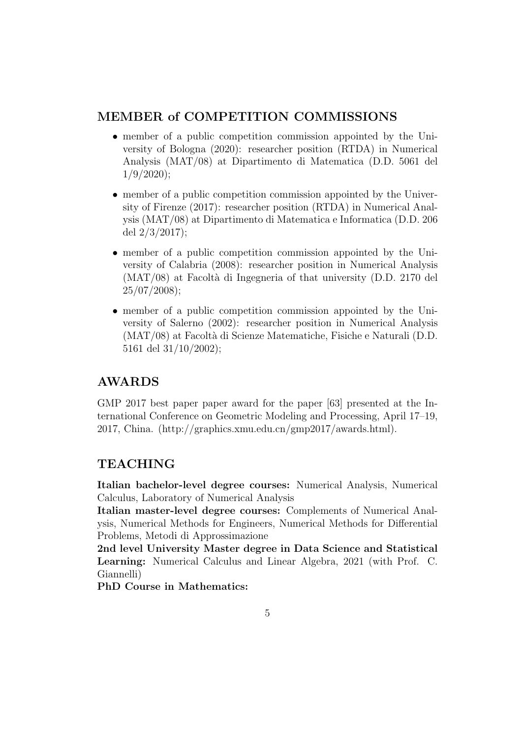# MEMBER of COMPETITION COMMISSIONS

- member of a public competition commission appointed by the University of Bologna (2020): researcher position (RTDA) in Numerical Analysis (MAT/08) at Dipartimento di Matematica (D.D. 5061 del  $1/9/2020$ ;
- member of a public competition commission appointed by the University of Firenze (2017): researcher position (RTDA) in Numerical Analysis (MAT/08) at Dipartimento di Matematica e Informatica (D.D. 206 del 2/3/2017);
- member of a public competition commission appointed by the University of Calabria (2008): researcher position in Numerical Analysis  $(MAT/08)$  at Facoltà di Ingegneria of that university (D.D. 2170 del 25/07/2008);
- member of a public competition commission appointed by the University of Salerno (2002): researcher position in Numerical Analysis (MAT/08) at Facolt`a di Scienze Matematiche, Fisiche e Naturali (D.D. 5161 del 31/10/2002);

# AWARDS

GMP 2017 best paper paper award for the paper [63] presented at the International Conference on Geometric Modeling and Processing, April 17–19, 2017, China. (http://graphics.xmu.edu.cn/gmp2017/awards.html).

# TEACHING

Italian bachelor-level degree courses: Numerical Analysis, Numerical Calculus, Laboratory of Numerical Analysis

Italian master-level degree courses: Complements of Numerical Analysis, Numerical Methods for Engineers, Numerical Methods for Differential Problems, Metodi di Approssimazione

2nd level University Master degree in Data Science and Statistical Learning: Numerical Calculus and Linear Algebra, 2021 (with Prof. C. Giannelli)

PhD Course in Mathematics: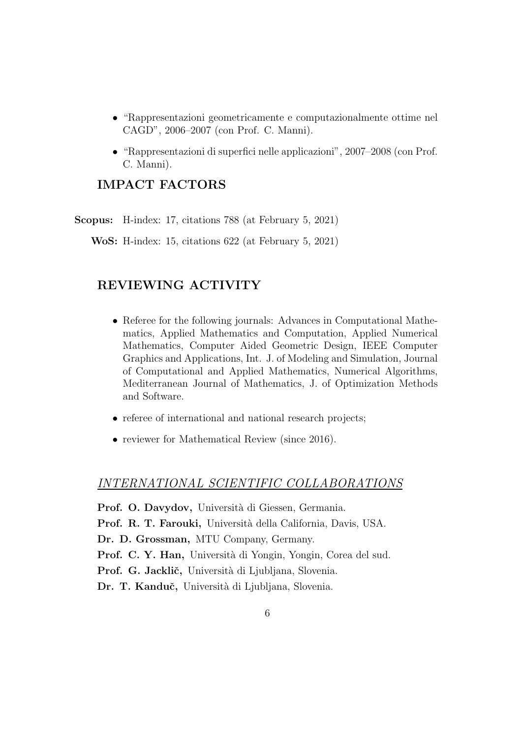- "Rappresentazioni geometricamente e computazionalmente ottime nel CAGD", 2006–2007 (con Prof. C. Manni).
- "Rappresentazioni di superfici nelle applicazioni", 2007–2008 (con Prof. C. Manni).

# IMPACT FACTORS

Scopus: H-index: 17, citations 788 (at February 5, 2021)

WoS: H-index: 15, citations 622 (at February 5, 2021)

# REVIEWING ACTIVITY

- Referee for the following journals: Advances in Computational Mathematics, Applied Mathematics and Computation, Applied Numerical Mathematics, Computer Aided Geometric Design, IEEE Computer Graphics and Applications, Int. J. of Modeling and Simulation, Journal of Computational and Applied Mathematics, Numerical Algorithms, Mediterranean Journal of Mathematics, J. of Optimization Methods and Software.
- referee of international and national research projects;
- reviewer for Mathematical Review (since 2016).

### INTERNATIONAL SCIENTIFIC COLLABORATIONS

Prof. O. Davydov, Università di Giessen, Germania. Prof. R. T. Farouki, Università della California, Davis, USA. Dr. D. Grossman, MTU Company, Germany. Prof. C. Y. Han, Università di Yongin, Yongin, Corea del sud. Prof. G. Jacklič, Università di Ljubljana, Slovenia. Dr. T. Kanduč, Università di Ljubljana, Slovenia.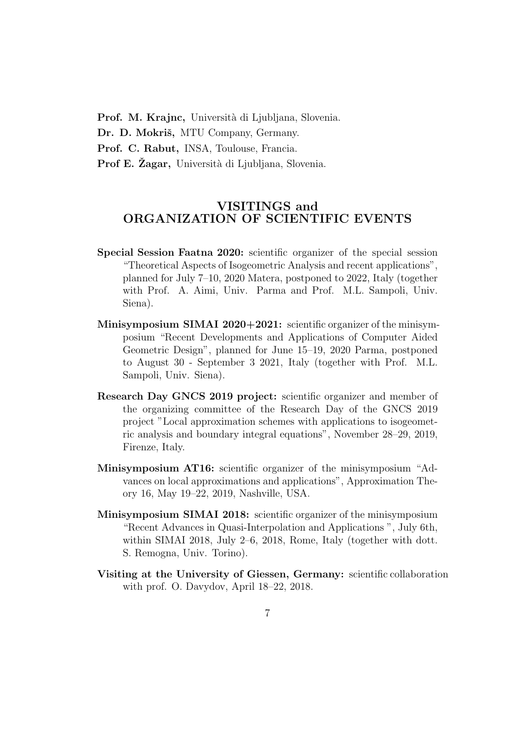Prof. M. Krajnc, Università di Ljubljana, Slovenia.

Dr. D. Mokriš, MTU Company, Germany.

Prof. C. Rabut, INSA, Toulouse, Francia.

**Prof E. Žagar,** Università di Ljubljana, Slovenia.

# VISITINGS and ORGANIZATION OF SCIENTIFIC EVENTS

- Special Session Faatna 2020: scientific organizer of the special session "Theoretical Aspects of Isogeometric Analysis and recent applications", planned for July 7–10, 2020 Matera, postponed to 2022, Italy (together with Prof. A. Aimi, Univ. Parma and Prof. M.L. Sampoli, Univ. Siena).
- Minisymposium SIMAI 2020+2021: scientific organizer of the minisymposium "Recent Developments and Applications of Computer Aided Geometric Design", planned for June 15–19, 2020 Parma, postponed to August 30 - September 3 2021, Italy (together with Prof. M.L. Sampoli, Univ. Siena).
- Research Day GNCS 2019 project: scientific organizer and member of the organizing committee of the Research Day of the GNCS 2019 project "Local approximation schemes with applications to isogeometric analysis and boundary integral equations", November 28–29, 2019, Firenze, Italy.
- Minisymposium AT16: scientific organizer of the minisymposium "Advances on local approximations and applications", Approximation Theory 16, May 19–22, 2019, Nashville, USA.
- Minisymposium SIMAI 2018: scientific organizer of the minisymposium "Recent Advances in Quasi-Interpolation and Applications ", July 6th, within SIMAI 2018, July 2–6, 2018, Rome, Italy (together with dott. S. Remogna, Univ. Torino).
- Visiting at the University of Giessen, Germany: scientific collaboration with prof. O. Davydov, April 18–22, 2018.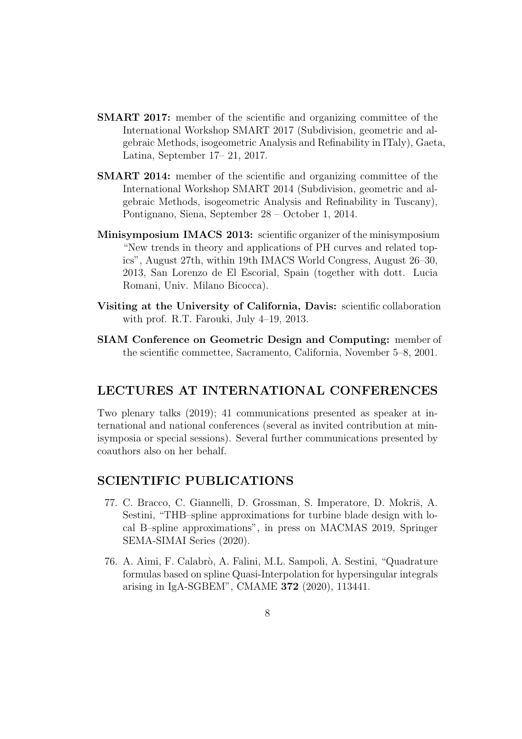- SMART 2017: member of the scientific and organizing committee of the International Workshop SMART 2017 (Subdivision, geometric and algebraic Methods, isogeometric Analysis and Refinability in ITaly), Gaeta, Latina, September 17– 21, 2017.
- SMART 2014: member of the scientific and organizing committee of the International Workshop SMART 2014 (Subdivision, geometric and algebraic Methods, isogeometric Analysis and Refinability in Tuscany), Pontignano, Siena, September 28 – October 1, 2014.
- Minisymposium IMACS 2013: scientific organizer of the minisymposium "New trends in theory and applications of PH curves and related topics", August 27th, within 19th IMACS World Congress, August 26–30, 2013, San Lorenzo de El Escorial, Spain (together with dott. Lucia Romani, Univ. Milano Bicocca).
- Visiting at the University of California, Davis: scientific collaboration with prof. R.T. Farouki, July 4–19, 2013.
- SIAM Conference on Geometric Design and Computing: member of the scientific commettee, Sacramento, California, November 5–8, 2001.

## LECTURES AT INTERNATIONAL CONFERENCES

Two plenary talks (2019); 41 communications presented as speaker at international and national conferences (several as invited contribution at minisymposia or special sessions). Several further communications presented by coauthors also on her behalf.

### SCIENTIFIC PUBLICATIONS

- 77. C. Bracco, C. Giannelli, D. Grossman, S. Imperatore, D. Mokriš, A. Sestini, "THB–spline approximations for turbine blade design with local B–spline approximations", in press on MACMAS 2019, Springer SEMA-SIMAI Series (2020).
- 76. A. Aimi, F. Calabr`o, A. Falini, M.L. Sampoli, A. Sestini, "Quadrature formulas based on spline Quasi-Interpolation for hypersingular integrals arising in IgA-SGBEM", CMAME 372 (2020), 113441.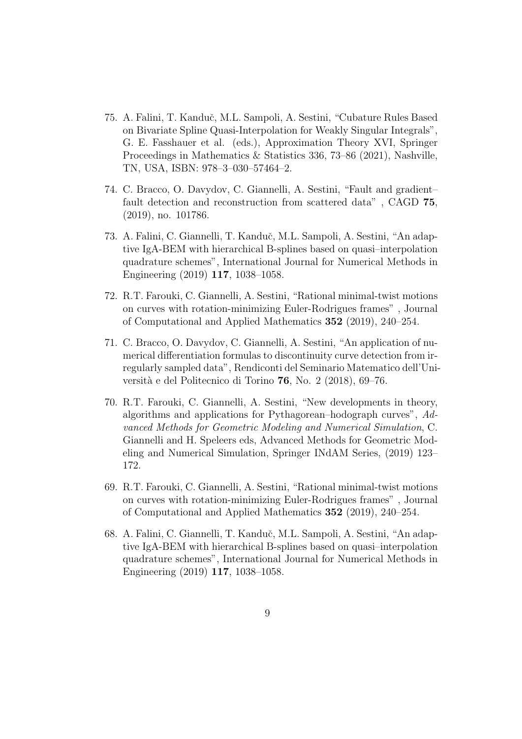- 75. A. Falini, T. Kanduˇc, M.L. Sampoli, A. Sestini, "Cubature Rules Based on Bivariate Spline Quasi-Interpolation for Weakly Singular Integrals", G. E. Fasshauer et al. (eds.), Approximation Theory XVI, Springer Proceedings in Mathematics & Statistics 336, 73–86 (2021), Nashville, TN, USA, ISBN: 978–3–030–57464–2.
- 74. C. Bracco, O. Davydov, C. Giannelli, A. Sestini, "Fault and gradient– fault detection and reconstruction from scattered data" , CAGD 75, (2019), no. 101786.
- 73. A. Falini, C. Giannelli, T. Kanduˇc, M.L. Sampoli, A. Sestini, "An adaptive IgA-BEM with hierarchical B-splines based on quasi–interpolation quadrature schemes", International Journal for Numerical Methods in Engineering (2019) 117, 1038–1058.
- 72. R.T. Farouki, C. Giannelli, A. Sestini, "Rational minimal-twist motions on curves with rotation-minimizing Euler-Rodrigues frames" , Journal of Computational and Applied Mathematics 352 (2019), 240–254.
- 71. C. Bracco, O. Davydov, C. Giannelli, A. Sestini, "An application of numerical differentiation formulas to discontinuity curve detection from irregularly sampled data", Rendiconti del Seminario Matematico dell'Università e del Politecnico di Torino 76, No. 2 (2018), 69–76.
- 70. R.T. Farouki, C. Giannelli, A. Sestini, "New developments in theory, algorithms and applications for Pythagorean–hodograph curves", Advanced Methods for Geometric Modeling and Numerical Simulation, C. Giannelli and H. Speleers eds, Advanced Methods for Geometric Modeling and Numerical Simulation, Springer INdAM Series, (2019) 123– 172.
- 69. R.T. Farouki, C. Giannelli, A. Sestini, "Rational minimal-twist motions on curves with rotation-minimizing Euler-Rodrigues frames" , Journal of Computational and Applied Mathematics 352 (2019), 240–254.
- 68. A. Falini, C. Giannelli, T. Kanduˇc, M.L. Sampoli, A. Sestini, "An adaptive IgA-BEM with hierarchical B-splines based on quasi–interpolation quadrature schemes", International Journal for Numerical Methods in Engineering (2019) 117, 1038–1058.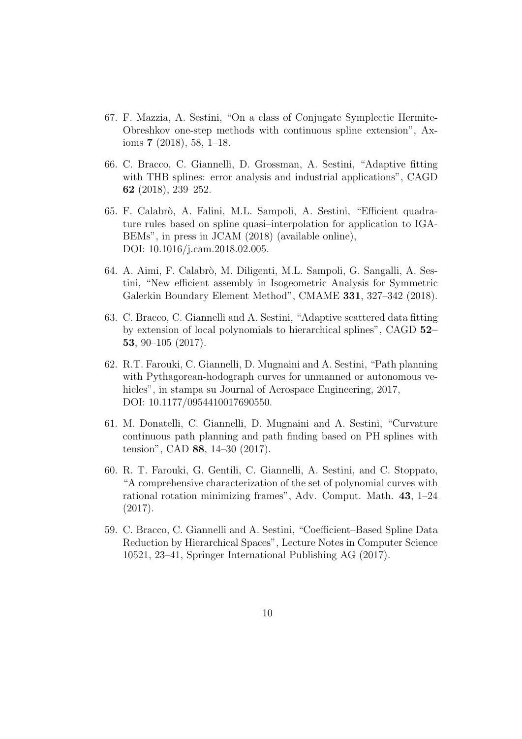- 67. F. Mazzia, A. Sestini, "On a class of Conjugate Symplectic Hermite-Obreshkov one-step methods with continuous spline extension", Axioms 7 (2018), 58, 1–18.
- 66. C. Bracco, C. Giannelli, D. Grossman, A. Sestini, "Adaptive fitting with THB splines: error analysis and industrial applications", CAGD 62 (2018), 239–252.
- 65. F. Calabr`o, A. Falini, M.L. Sampoli, A. Sestini, "Efficient quadrature rules based on spline quasi–interpolation for application to IGA-BEMs", in press in JCAM (2018) (available online), DOI: 10.1016/j.cam.2018.02.005.
- 64. A. Aimi, F. Calabrò, M. Diligenti, M.L. Sampoli, G. Sangalli, A. Sestini, "New efficient assembly in Isogeometric Analysis for Symmetric Galerkin Boundary Element Method", CMAME 331, 327–342 (2018).
- 63. C. Bracco, C. Giannelli and A. Sestini, "Adaptive scattered data fitting by extension of local polynomials to hierarchical splines", CAGD 52– 53, 90–105 (2017).
- 62. R.T. Farouki, C. Giannelli, D. Mugnaini and A. Sestini, "Path planning with Pythagorean-hodograph curves for unmanned or autonomous vehicles", in stampa su Journal of Aerospace Engineering, 2017, DOI: 10.1177/0954410017690550.
- 61. M. Donatelli, C. Giannelli, D. Mugnaini and A. Sestini, "Curvature continuous path planning and path finding based on PH splines with tension", CAD 88, 14–30 (2017).
- 60. R. T. Farouki, G. Gentili, C. Giannelli, A. Sestini, and C. Stoppato, "A comprehensive characterization of the set of polynomial curves with rational rotation minimizing frames", Adv. Comput. Math. 43, 1–24 (2017).
- 59. C. Bracco, C. Giannelli and A. Sestini, "Coefficient–Based Spline Data Reduction by Hierarchical Spaces", Lecture Notes in Computer Science 10521, 23–41, Springer International Publishing AG (2017).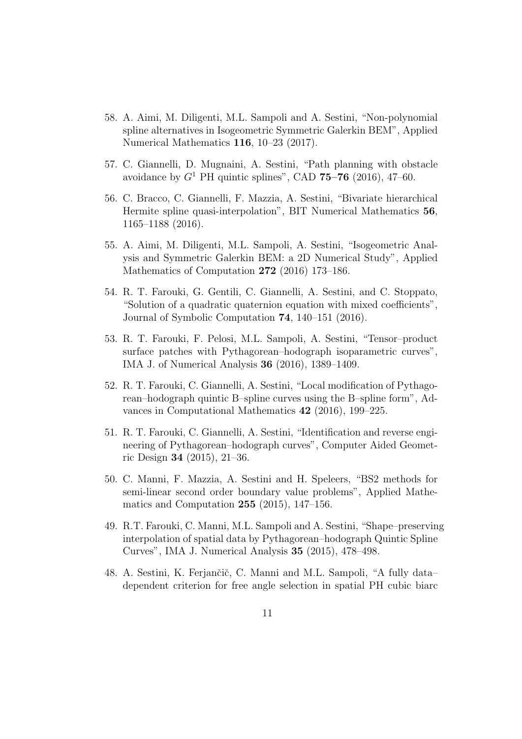- 58. A. Aimi, M. Diligenti, M.L. Sampoli and A. Sestini, "Non-polynomial spline alternatives in Isogeometric Symmetric Galerkin BEM", Applied Numerical Mathematics 116, 10–23 (2017).
- 57. C. Giannelli, D. Mugnaini, A. Sestini, "Path planning with obstacle avoidance by  $G^1$  PH quintic splines", CAD 75–76 (2016), 47–60.
- 56. C. Bracco, C. Giannelli, F. Mazzia, A. Sestini, "Bivariate hierarchical Hermite spline quasi-interpolation", BIT Numerical Mathematics 56, 1165–1188 (2016).
- 55. A. Aimi, M. Diligenti, M.L. Sampoli, A. Sestini, "Isogeometric Analysis and Symmetric Galerkin BEM: a 2D Numerical Study", Applied Mathematics of Computation 272 (2016) 173–186.
- 54. R. T. Farouki, G. Gentili, C. Giannelli, A. Sestini, and C. Stoppato, "Solution of a quadratic quaternion equation with mixed coefficients", Journal of Symbolic Computation 74, 140–151 (2016).
- 53. R. T. Farouki, F. Pelosi, M.L. Sampoli, A. Sestini, "Tensor–product surface patches with Pythagorean–hodograph isoparametric curves", IMA J. of Numerical Analysis 36 (2016), 1389–1409.
- 52. R. T. Farouki, C. Giannelli, A. Sestini, "Local modification of Pythagorean–hodograph quintic B–spline curves using the B–spline form", Advances in Computational Mathematics 42 (2016), 199–225.
- 51. R. T. Farouki, C. Giannelli, A. Sestini, "Identification and reverse engineering of Pythagorean–hodograph curves", Computer Aided Geometric Design 34 (2015), 21–36.
- 50. C. Manni, F. Mazzia, A. Sestini and H. Speleers, "BS2 methods for semi-linear second order boundary value problems", Applied Mathematics and Computation 255 (2015), 147–156.
- 49. R.T. Farouki, C. Manni, M.L. Sampoli and A. Sestini, "Shape–preserving interpolation of spatial data by Pythagorean–hodograph Quintic Spline Curves", IMA J. Numerical Analysis 35 (2015), 478–498.
- 48. A. Sestini, K. Ferjančič, C. Manni and M.L. Sampoli, "A fully data– dependent criterion for free angle selection in spatial PH cubic biarc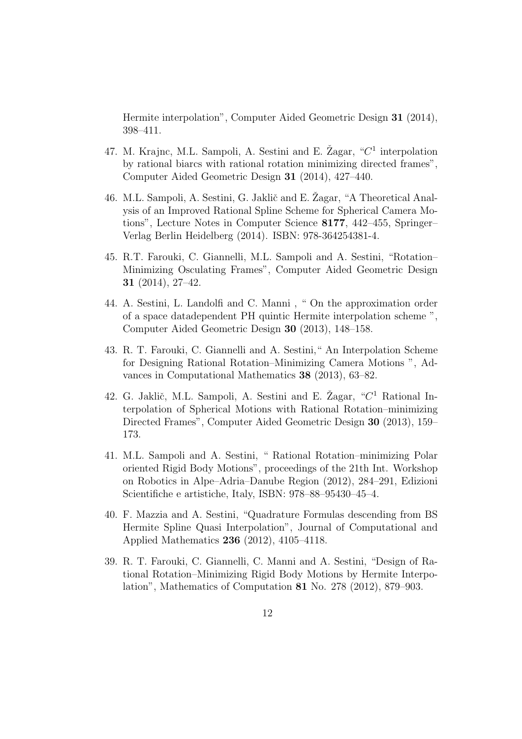Hermite interpolation", Computer Aided Geometric Design 31 (2014), 398–411.

- 47. M. Krajnc, M.L. Sampoli, A. Sestini and E. Žagar, " $C<sup>1</sup>$  interpolation by rational biarcs with rational rotation minimizing directed frames", Computer Aided Geometric Design 31 (2014), 427–440.
- 46. M.L. Sampoli, A. Sestini, G. Jaklič and E. Žagar, "A Theoretical Analysis of an Improved Rational Spline Scheme for Spherical Camera Motions", Lecture Notes in Computer Science 8177, 442–455, Springer– Verlag Berlin Heidelberg (2014). ISBN: 978-364254381-4.
- 45. R.T. Farouki, C. Giannelli, M.L. Sampoli and A. Sestini, "Rotation– Minimizing Osculating Frames", Computer Aided Geometric Design 31 (2014), 27–42.
- 44. A. Sestini, L. Landolfi and C. Manni , " On the approximation order of a space datadependent PH quintic Hermite interpolation scheme ", Computer Aided Geometric Design 30 (2013), 148–158.
- 43. R. T. Farouki, C. Giannelli and A. Sestini," An Interpolation Scheme for Designing Rational Rotation–Minimizing Camera Motions ", Advances in Computational Mathematics 38 (2013), 63–82.
- 42. G. Jaklič, M.L. Sampoli, A. Sestini and E. Žagar, " $C<sup>1</sup>$  Rational Interpolation of Spherical Motions with Rational Rotation–minimizing Directed Frames", Computer Aided Geometric Design 30 (2013), 159– 173.
- 41. M.L. Sampoli and A. Sestini, " Rational Rotation–minimizing Polar oriented Rigid Body Motions", proceedings of the 21th Int. Workshop on Robotics in Alpe–Adria–Danube Region (2012), 284–291, Edizioni Scientifiche e artistiche, Italy, ISBN: 978–88–95430–45–4.
- 40. F. Mazzia and A. Sestini, "Quadrature Formulas descending from BS Hermite Spline Quasi Interpolation", Journal of Computational and Applied Mathematics 236 (2012), 4105–4118.
- 39. R. T. Farouki, C. Giannelli, C. Manni and A. Sestini, "Design of Rational Rotation–Minimizing Rigid Body Motions by Hermite Interpolation", Mathematics of Computation 81 No. 278 (2012), 879–903.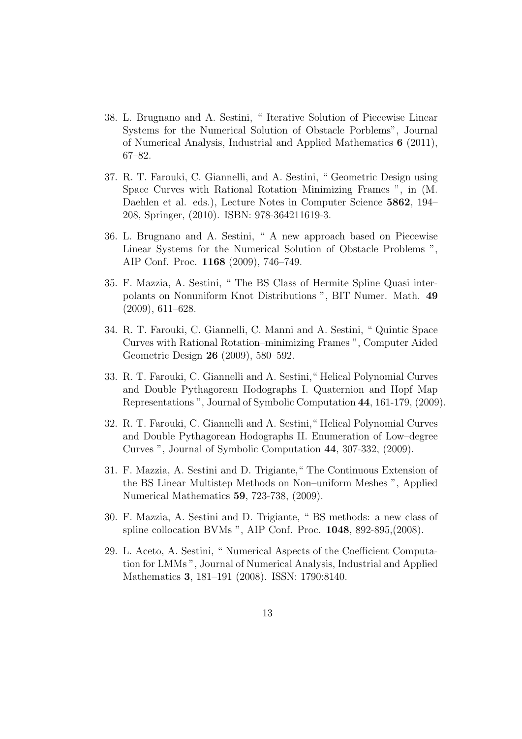- 38. L. Brugnano and A. Sestini, " Iterative Solution of Piecewise Linear Systems for the Numerical Solution of Obstacle Porblems", Journal of Numerical Analysis, Industrial and Applied Mathematics 6 (2011), 67–82.
- 37. R. T. Farouki, C. Giannelli, and A. Sestini, " Geometric Design using Space Curves with Rational Rotation–Minimizing Frames ", in (M. Daehlen et al. eds.), Lecture Notes in Computer Science 5862, 194– 208, Springer, (2010). ISBN: 978-364211619-3.
- 36. L. Brugnano and A. Sestini, " A new approach based on Piecewise Linear Systems for the Numerical Solution of Obstacle Problems ", AIP Conf. Proc. 1168 (2009), 746–749.
- 35. F. Mazzia, A. Sestini, " The BS Class of Hermite Spline Quasi interpolants on Nonuniform Knot Distributions ", BIT Numer. Math. 49 (2009), 611–628.
- 34. R. T. Farouki, C. Giannelli, C. Manni and A. Sestini, " Quintic Space Curves with Rational Rotation–minimizing Frames ", Computer Aided Geometric Design 26 (2009), 580–592.
- 33. R. T. Farouki, C. Giannelli and A. Sestini," Helical Polynomial Curves and Double Pythagorean Hodographs I. Quaternion and Hopf Map Representations ", Journal of Symbolic Computation 44, 161-179, (2009).
- 32. R. T. Farouki, C. Giannelli and A. Sestini," Helical Polynomial Curves and Double Pythagorean Hodographs II. Enumeration of Low–degree Curves ", Journal of Symbolic Computation 44, 307-332, (2009).
- 31. F. Mazzia, A. Sestini and D. Trigiante," The Continuous Extension of the BS Linear Multistep Methods on Non–uniform Meshes ", Applied Numerical Mathematics 59, 723-738, (2009).
- 30. F. Mazzia, A. Sestini and D. Trigiante, " BS methods: a new class of spline collocation BVMs ", AIP Conf. Proc. 1048, 892-895,(2008).
- 29. L. Aceto, A. Sestini, " Numerical Aspects of the Coefficient Computation for LMMs ", Journal of Numerical Analysis, Industrial and Applied Mathematics 3, 181–191 (2008). ISSN: 1790:8140.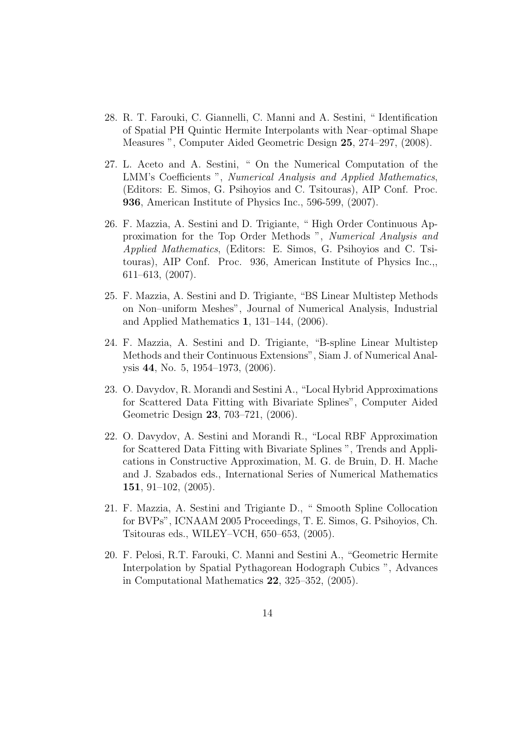- 28. R. T. Farouki, C. Giannelli, C. Manni and A. Sestini, " Identification of Spatial PH Quintic Hermite Interpolants with Near–optimal Shape Measures ", Computer Aided Geometric Design 25, 274–297, (2008).
- 27. L. Aceto and A. Sestini, " On the Numerical Computation of the LMM's Coefficients ", Numerical Analysis and Applied Mathematics, (Editors: E. Simos, G. Psihoyios and C. Tsitouras), AIP Conf. Proc. 936, American Institute of Physics Inc., 596-599, (2007).
- 26. F. Mazzia, A. Sestini and D. Trigiante, " High Order Continuous Approximation for the Top Order Methods ", Numerical Analysis and Applied Mathematics, (Editors: E. Simos, G. Psihoyios and C. Tsitouras), AIP Conf. Proc. 936, American Institute of Physics Inc.,, 611–613, (2007).
- 25. F. Mazzia, A. Sestini and D. Trigiante, "BS Linear Multistep Methods on Non–uniform Meshes", Journal of Numerical Analysis, Industrial and Applied Mathematics 1, 131–144, (2006).
- 24. F. Mazzia, A. Sestini and D. Trigiante, "B-spline Linear Multistep Methods and their Continuous Extensions", Siam J. of Numerical Analysis 44, No. 5, 1954–1973, (2006).
- 23. O. Davydov, R. Morandi and Sestini A., "Local Hybrid Approximations for Scattered Data Fitting with Bivariate Splines", Computer Aided Geometric Design 23, 703–721, (2006).
- 22. O. Davydov, A. Sestini and Morandi R., "Local RBF Approximation for Scattered Data Fitting with Bivariate Splines ", Trends and Applications in Constructive Approximation, M. G. de Bruin, D. H. Mache and J. Szabados eds., International Series of Numerical Mathematics 151, 91–102, (2005).
- 21. F. Mazzia, A. Sestini and Trigiante D., " Smooth Spline Collocation for BVPs", ICNAAM 2005 Proceedings, T. E. Simos, G. Psihoyios, Ch. Tsitouras eds., WILEY–VCH, 650–653, (2005).
- 20. F. Pelosi, R.T. Farouki, C. Manni and Sestini A., "Geometric Hermite Interpolation by Spatial Pythagorean Hodograph Cubics ", Advances in Computational Mathematics 22, 325–352, (2005).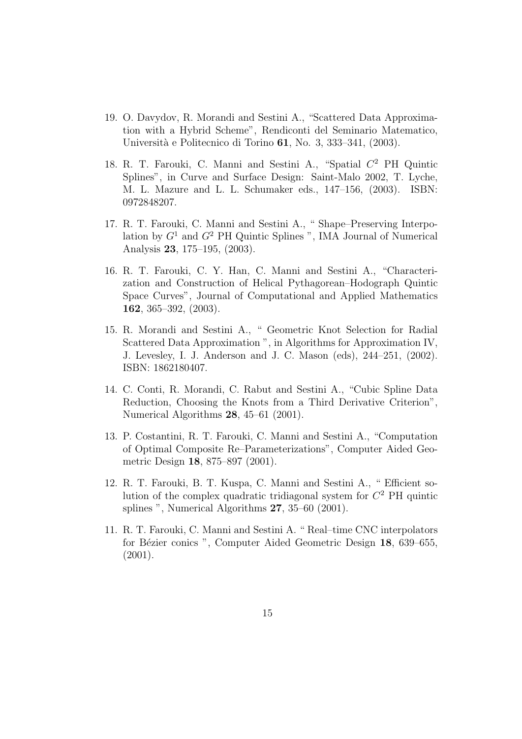- 19. O. Davydov, R. Morandi and Sestini A., "Scattered Data Approximation with a Hybrid Scheme", Rendiconti del Seminario Matematico, Universit`a e Politecnico di Torino 61, No. 3, 333–341, (2003).
- 18. R. T. Farouki, C. Manni and Sestini A., "Spatial C <sup>2</sup> PH Quintic Splines", in Curve and Surface Design: Saint-Malo 2002, T. Lyche, M. L. Mazure and L. L. Schumaker eds., 147–156, (2003). ISBN: 0972848207.
- 17. R. T. Farouki, C. Manni and Sestini A., " Shape–Preserving Interpolation by  $G<sup>1</sup>$  and  $G<sup>2</sup>$  PH Quintic Splines ", IMA Journal of Numerical Analysis 23, 175–195, (2003).
- 16. R. T. Farouki, C. Y. Han, C. Manni and Sestini A., "Characterization and Construction of Helical Pythagorean–Hodograph Quintic Space Curves", Journal of Computational and Applied Mathematics 162, 365–392, (2003).
- 15. R. Morandi and Sestini A., " Geometric Knot Selection for Radial Scattered Data Approximation ", in Algorithms for Approximation IV, J. Levesley, I. J. Anderson and J. C. Mason (eds), 244–251, (2002). ISBN: 1862180407.
- 14. C. Conti, R. Morandi, C. Rabut and Sestini A., "Cubic Spline Data Reduction, Choosing the Knots from a Third Derivative Criterion", Numerical Algorithms 28, 45–61 (2001).
- 13. P. Costantini, R. T. Farouki, C. Manni and Sestini A., "Computation of Optimal Composite Re–Parameterizations", Computer Aided Geometric Design 18, 875–897 (2001).
- 12. R. T. Farouki, B. T. Kuspa, C. Manni and Sestini A., " Efficient solution of the complex quadratic tridiagonal system for  $C<sup>2</sup>$  PH quintic splines ", Numerical Algorithms 27, 35–60 (2001).
- 11. R. T. Farouki, C. Manni and Sestini A. " Real–time CNC interpolators for Bézier conics ", Computer Aided Geometric Design 18, 639–655, (2001).